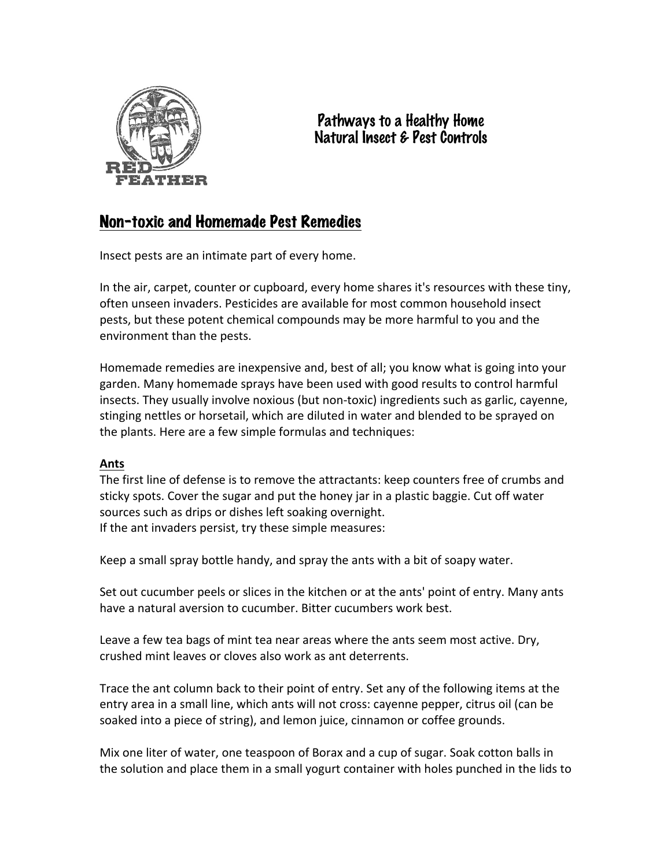

# Pathways to a Healthy Home Natural Insect & Pest Controls

# Non-toxic and Homemade Pest Remedies

Insect pests are an intimate part of every home.

In the air, carpet, counter or cupboard, every home shares it's resources with these tiny, often unseen invaders. Pesticides are available for most common household insect pests, but these potent chemical compounds may be more harmful to you and the environment than the pests.

Homemade remedies are inexpensive and, best of all; you know what is going into your garden. Many homemade sprays have been used with good results to control harmful insects. They usually involve noxious (but non-toxic) ingredients such as garlic, cayenne, stinging nettles or horsetail, which are diluted in water and blended to be sprayed on the plants. Here are a few simple formulas and techniques:

# **Ants**

The first line of defense is to remove the attractants: keep counters free of crumbs and sticky spots. Cover the sugar and put the honey jar in a plastic baggie. Cut off water sources such as drips or dishes left soaking overnight. If the ant invaders persist, try these simple measures:

Keep a small spray bottle handy, and spray the ants with a bit of soapy water.

Set out cucumber peels or slices in the kitchen or at the ants' point of entry. Many ants have a natural aversion to cucumber. Bitter cucumbers work best.

Leave a few tea bags of mint tea near areas where the ants seem most active. Dry, crushed mint leaves or cloves also work as ant deterrents.

Trace the ant column back to their point of entry. Set any of the following items at the entry area in a small line, which ants will not cross: cayenne pepper, citrus oil (can be soaked into a piece of string), and lemon juice, cinnamon or coffee grounds.

Mix one liter of water, one teaspoon of Borax and a cup of sugar. Soak cotton balls in the solution and place them in a small yogurt container with holes punched in the lids to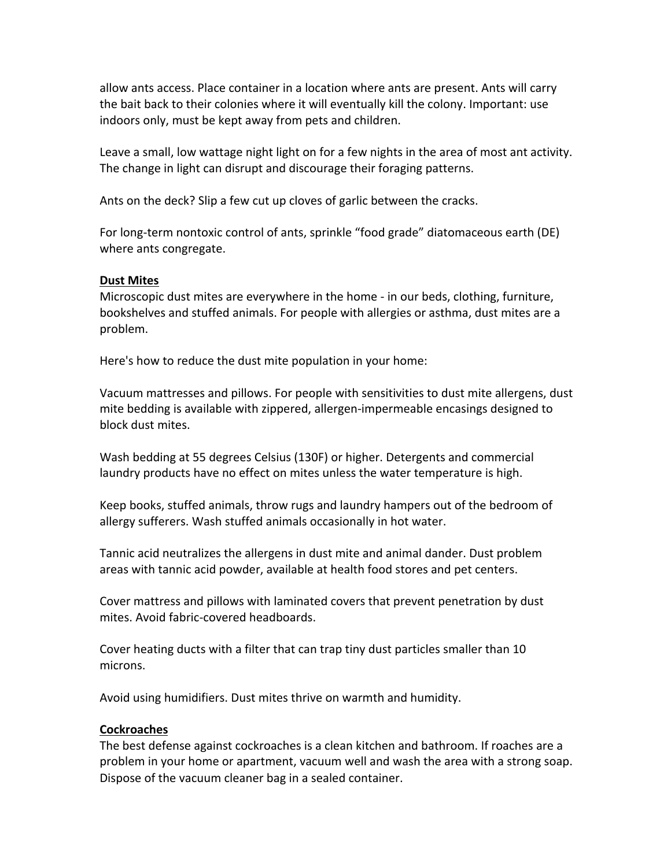allow ants access. Place container in a location where ants are present. Ants will carry the bait back to their colonies where it will eventually kill the colony. Important: use indoors only, must be kept away from pets and children.

Leave a small, low wattage night light on for a few nights in the area of most ant activity. The change in light can disrupt and discourage their foraging patterns.

Ants on the deck? Slip a few cut up cloves of garlic between the cracks.

For long-term nontoxic control of ants, sprinkle "food grade" diatomaceous earth (DE) where ants congregate.

### **Dust Mites**

Microscopic dust mites are everywhere in the home - in our beds, clothing, furniture, bookshelves and stuffed animals. For people with allergies or asthma, dust mites are a problem.

Here's how to reduce the dust mite population in your home:

Vacuum mattresses and pillows. For people with sensitivities to dust mite allergens, dust mite bedding is available with zippered, allergen-impermeable encasings designed to block dust mites.

Wash bedding at 55 degrees Celsius (130F) or higher. Detergents and commercial laundry products have no effect on mites unless the water temperature is high.

Keep books, stuffed animals, throw rugs and laundry hampers out of the bedroom of allergy sufferers. Wash stuffed animals occasionally in hot water.

Tannic acid neutralizes the allergens in dust mite and animal dander. Dust problem areas with tannic acid powder, available at health food stores and pet centers.

Cover mattress and pillows with laminated covers that prevent penetration by dust mites. Avoid fabric-covered headboards.

Cover heating ducts with a filter that can trap tiny dust particles smaller than 10 microns.

Avoid using humidifiers. Dust mites thrive on warmth and humidity.

## **Cockroaches**

The best defense against cockroaches is a clean kitchen and bathroom. If roaches are a problem in your home or apartment, vacuum well and wash the area with a strong soap. Dispose of the vacuum cleaner bag in a sealed container.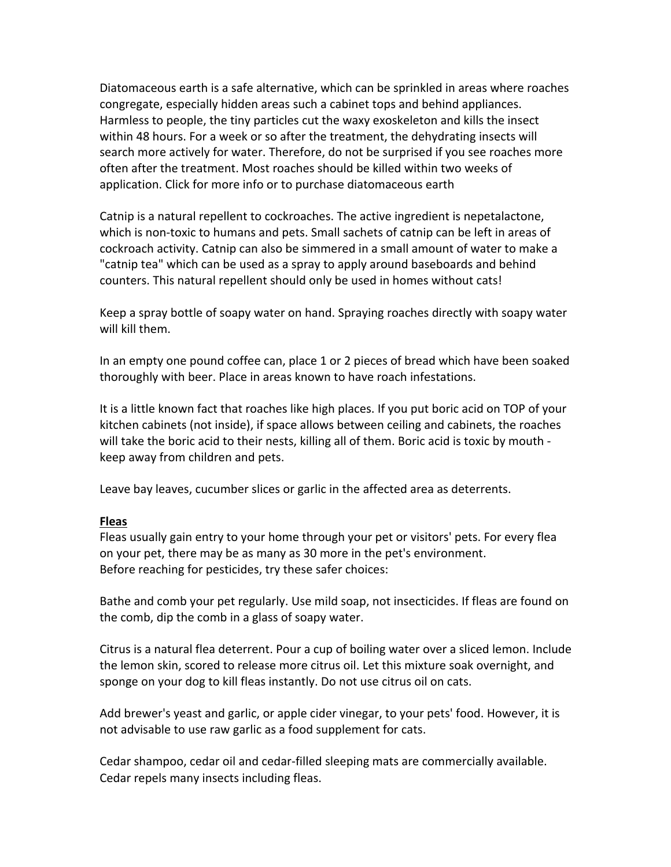Diatomaceous earth is a safe alternative, which can be sprinkled in areas where roaches congregate, especially hidden areas such a cabinet tops and behind appliances. Harmless to people, the tiny particles cut the waxy exoskeleton and kills the insect within 48 hours. For a week or so after the treatment, the dehydrating insects will search more actively for water. Therefore, do not be surprised if you see roaches more often after the treatment. Most roaches should be killed within two weeks of application. Click for more info or to purchase diatomaceous earth

Catnip is a natural repellent to cockroaches. The active ingredient is nepetalactone, which is non-toxic to humans and pets. Small sachets of catnip can be left in areas of cockroach activity. Catnip can also be simmered in a small amount of water to make a "catnip tea" which can be used as a spray to apply around baseboards and behind counters. This natural repellent should only be used in homes without cats!

Keep a spray bottle of soapy water on hand. Spraying roaches directly with soapy water will kill them.

In an empty one pound coffee can, place 1 or 2 pieces of bread which have been soaked thoroughly with beer. Place in areas known to have roach infestations.

It is a little known fact that roaches like high places. If you put boric acid on TOP of your kitchen cabinets (not inside), if space allows between ceiling and cabinets, the roaches will take the boric acid to their nests, killing all of them. Boric acid is toxic by mouth keep away from children and pets.

Leave bay leaves, cucumber slices or garlic in the affected area as deterrents.

#### **Fleas**

Fleas usually gain entry to your home through your pet or visitors' pets. For every flea on your pet, there may be as many as 30 more in the pet's environment. Before reaching for pesticides, try these safer choices:

Bathe and comb your pet regularly. Use mild soap, not insecticides. If fleas are found on the comb, dip the comb in a glass of soapy water.

Citrus is a natural flea deterrent. Pour a cup of boiling water over a sliced lemon. Include the lemon skin, scored to release more citrus oil. Let this mixture soak overnight, and sponge on your dog to kill fleas instantly. Do not use citrus oil on cats.

Add brewer's yeast and garlic, or apple cider vinegar, to your pets' food. However, it is not advisable to use raw garlic as a food supplement for cats.

Cedar shampoo, cedar oil and cedar-filled sleeping mats are commercially available. Cedar repels many insects including fleas.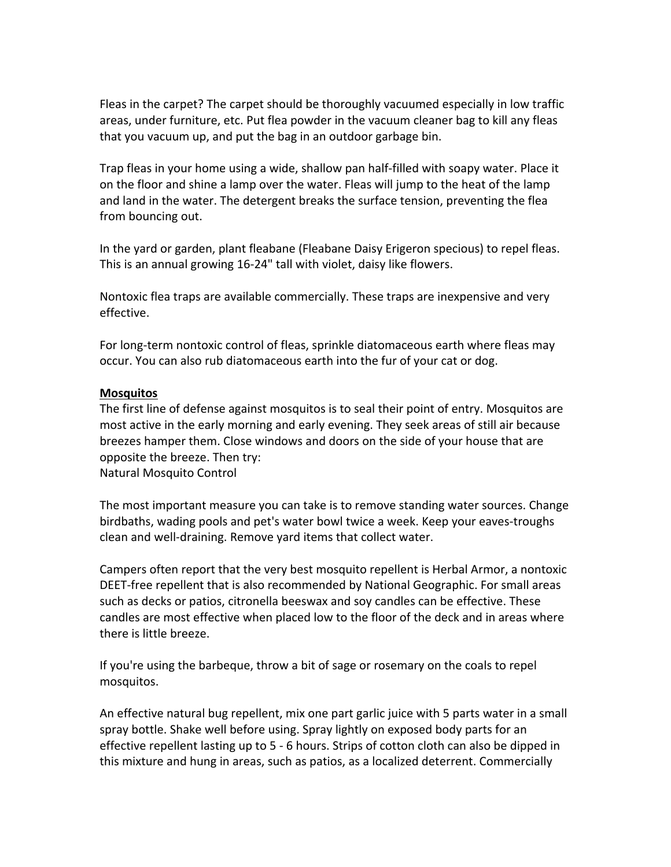Fleas in the carpet? The carpet should be thoroughly vacuumed especially in low traffic areas, under furniture, etc. Put flea powder in the vacuum cleaner bag to kill any fleas that you vacuum up, and put the bag in an outdoor garbage bin.

Trap fleas in your home using a wide, shallow pan half-filled with soapy water. Place it on the floor and shine a lamp over the water. Fleas will jump to the heat of the lamp and land in the water. The detergent breaks the surface tension, preventing the flea from bouncing out.

In the yard or garden, plant fleabane (Fleabane Daisy Erigeron specious) to repel fleas. This is an annual growing 16-24" tall with violet, daisy like flowers.

Nontoxic flea traps are available commercially. These traps are inexpensive and very effective.

For long-term nontoxic control of fleas, sprinkle diatomaceous earth where fleas may occur. You can also rub diatomaceous earth into the fur of your cat or dog.

### **Mosquitos**

The first line of defense against mosquitos is to seal their point of entry. Mosquitos are most active in the early morning and early evening. They seek areas of still air because breezes hamper them. Close windows and doors on the side of your house that are opposite the breeze. Then try: Natural Mosquito Control

The most important measure you can take is to remove standing water sources. Change birdbaths, wading pools and pet's water bowl twice a week. Keep your eaves-troughs clean and well-draining. Remove yard items that collect water.

Campers often report that the very best mosquito repellent is Herbal Armor, a nontoxic DEET-free repellent that is also recommended by National Geographic. For small areas such as decks or patios, citronella beeswax and soy candles can be effective. These candles are most effective when placed low to the floor of the deck and in areas where there is little breeze.

If you're using the barbeque, throw a bit of sage or rosemary on the coals to repel mosquitos.

An effective natural bug repellent, mix one part garlic juice with 5 parts water in a small spray bottle. Shake well before using. Spray lightly on exposed body parts for an effective repellent lasting up to  $5 - 6$  hours. Strips of cotton cloth can also be dipped in this mixture and hung in areas, such as patios, as a localized deterrent. Commercially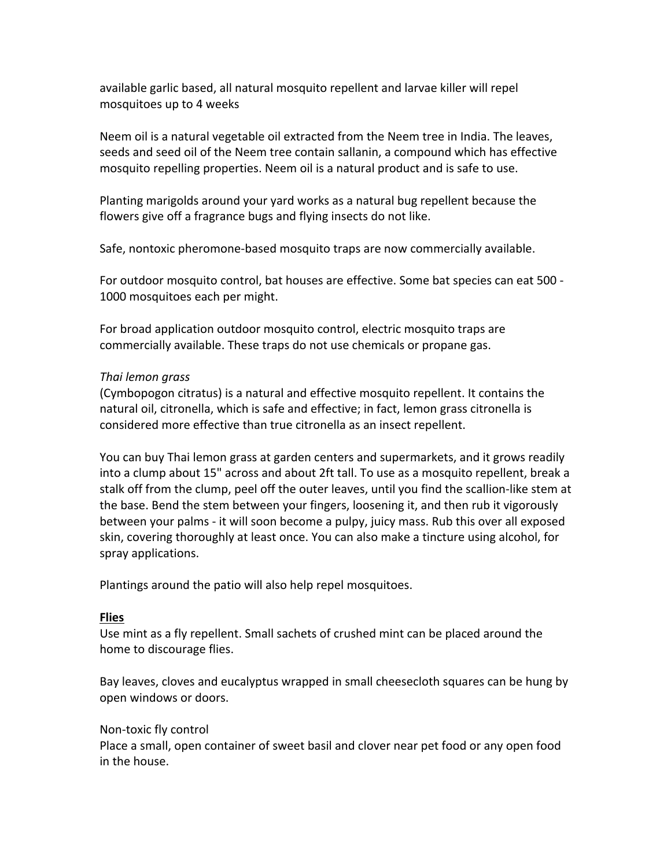available garlic based, all natural mosquito repellent and larvae killer will repel mosquitoes up to 4 weeks

Neem oil is a natural vegetable oil extracted from the Neem tree in India. The leaves, seeds and seed oil of the Neem tree contain sallanin, a compound which has effective mosquito repelling properties. Neem oil is a natural product and is safe to use.

Planting marigolds around your yard works as a natural bug repellent because the flowers give off a fragrance bugs and flying insects do not like.

Safe, nontoxic pheromone-based mosquito traps are now commercially available.

For outdoor mosquito control, bat houses are effective. Some bat species can eat 500 -1000 mosquitoes each per might.

For broad application outdoor mosquito control, electric mosquito traps are commercially available. These traps do not use chemicals or propane gas.

#### *Thai lemon grass*

(Cymbopogon citratus) is a natural and effective mosquito repellent. It contains the natural oil, citronella, which is safe and effective; in fact, lemon grass citronella is considered more effective than true citronella as an insect repellent.

You can buy Thai lemon grass at garden centers and supermarkets, and it grows readily into a clump about 15" across and about 2ft tall. To use as a mosquito repellent, break a stalk off from the clump, peel off the outer leaves, until you find the scallion-like stem at the base. Bend the stem between your fingers, loosening it, and then rub it vigorously between your palms - it will soon become a pulpy, juicy mass. Rub this over all exposed skin, covering thoroughly at least once. You can also make a tincture using alcohol, for spray applications.

Plantings around the patio will also help repel mosquitoes.

#### **Flies**

Use mint as a fly repellent. Small sachets of crushed mint can be placed around the home to discourage flies.

Bay leaves, cloves and eucalyptus wrapped in small cheesecloth squares can be hung by open windows or doors.

#### Non-toxic fly control

Place a small, open container of sweet basil and clover near pet food or any open food in the house.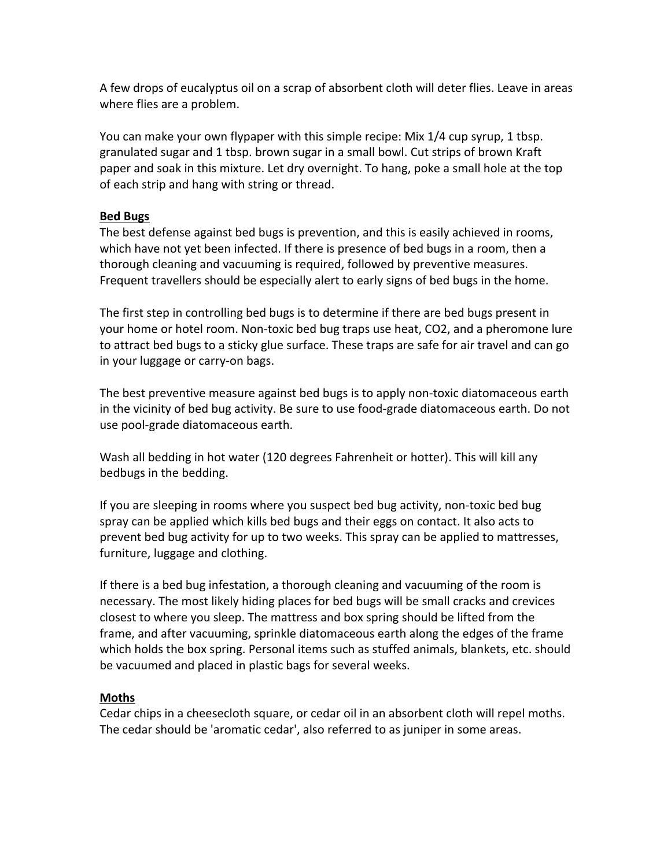A few drops of eucalyptus oil on a scrap of absorbent cloth will deter flies. Leave in areas where flies are a problem.

You can make your own flypaper with this simple recipe: Mix 1/4 cup syrup, 1 tbsp. granulated sugar and 1 tbsp. brown sugar in a small bowl. Cut strips of brown Kraft paper and soak in this mixture. Let dry overnight. To hang, poke a small hole at the top of each strip and hang with string or thread.

#### **Bed Bugs**

The best defense against bed bugs is prevention, and this is easily achieved in rooms, which have not yet been infected. If there is presence of bed bugs in a room, then a thorough cleaning and vacuuming is required, followed by preventive measures. Frequent travellers should be especially alert to early signs of bed bugs in the home.

The first step in controlling bed bugs is to determine if there are bed bugs present in your home or hotel room. Non-toxic bed bug traps use heat, CO2, and a pheromone lure to attract bed bugs to a sticky glue surface. These traps are safe for air travel and can go in your luggage or carry-on bags.

The best preventive measure against bed bugs is to apply non-toxic diatomaceous earth in the vicinity of bed bug activity. Be sure to use food-grade diatomaceous earth. Do not use pool-grade diatomaceous earth.

Wash all bedding in hot water (120 degrees Fahrenheit or hotter). This will kill any bedbugs in the bedding.

If you are sleeping in rooms where you suspect bed bug activity, non-toxic bed bug spray can be applied which kills bed bugs and their eggs on contact. It also acts to prevent bed bug activity for up to two weeks. This spray can be applied to mattresses, furniture, luggage and clothing.

If there is a bed bug infestation, a thorough cleaning and vacuuming of the room is necessary. The most likely hiding places for bed bugs will be small cracks and crevices closest to where you sleep. The mattress and box spring should be lifted from the frame, and after vacuuming, sprinkle diatomaceous earth along the edges of the frame which holds the box spring. Personal items such as stuffed animals, blankets, etc. should be vacuumed and placed in plastic bags for several weeks.

## **Moths**

Cedar chips in a cheesecloth square, or cedar oil in an absorbent cloth will repel moths. The cedar should be 'aromatic cedar', also referred to as juniper in some areas.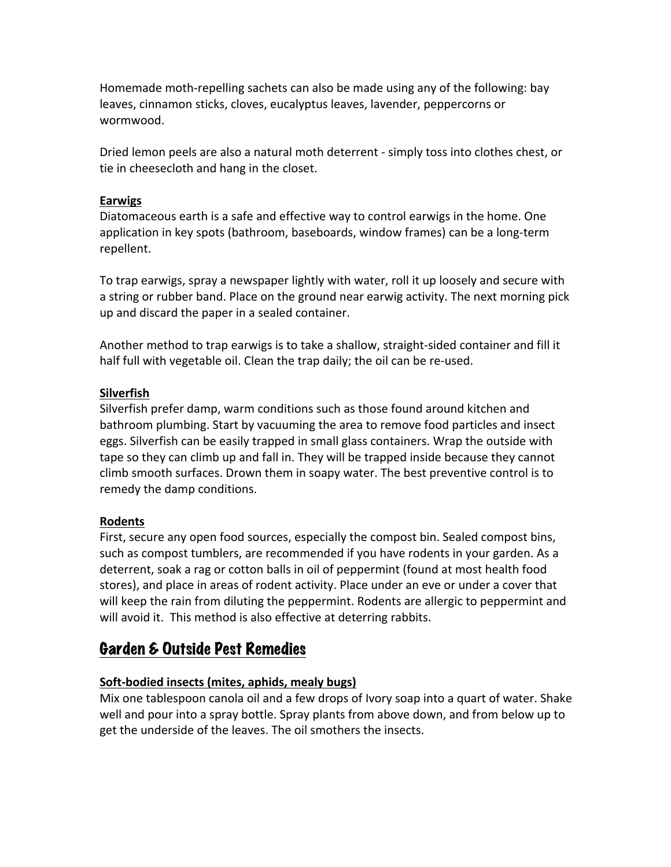Homemade moth-repelling sachets can also be made using any of the following: bay leaves, cinnamon sticks, cloves, eucalyptus leaves, lavender, peppercorns or wormwood.

Dried lemon peels are also a natural moth deterrent - simply toss into clothes chest, or tie in cheesecloth and hang in the closet.

#### **Earwigs**

Diatomaceous earth is a safe and effective way to control earwigs in the home. One application in key spots (bathroom, baseboards, window frames) can be a long-term repellent.

To trap earwigs, spray a newspaper lightly with water, roll it up loosely and secure with a string or rubber band. Place on the ground near earwig activity. The next morning pick up and discard the paper in a sealed container.

Another method to trap earwigs is to take a shallow, straight-sided container and fill it half full with vegetable oil. Clean the trap daily; the oil can be re-used.

## **Silverfish**

Silverfish prefer damp, warm conditions such as those found around kitchen and bathroom plumbing. Start by vacuuming the area to remove food particles and insect eggs. Silverfish can be easily trapped in small glass containers. Wrap the outside with tape so they can climb up and fall in. They will be trapped inside because they cannot climb smooth surfaces. Drown them in soapy water. The best preventive control is to remedy the damp conditions.

## **Rodents**

First, secure any open food sources, especially the compost bin. Sealed compost bins, such as compost tumblers, are recommended if you have rodents in your garden. As a deterrent, soak a rag or cotton balls in oil of peppermint (found at most health food stores), and place in areas of rodent activity. Place under an eve or under a cover that will keep the rain from diluting the peppermint. Rodents are allergic to peppermint and will avoid it. This method is also effective at deterring rabbits.

# Garden & Outside Pest Remedies

## **Soft-bodied insects (mites, aphids, mealy bugs)**

Mix one tablespoon canola oil and a few drops of Ivory soap into a quart of water. Shake well and pour into a spray bottle. Spray plants from above down, and from below up to get the underside of the leaves. The oil smothers the insects.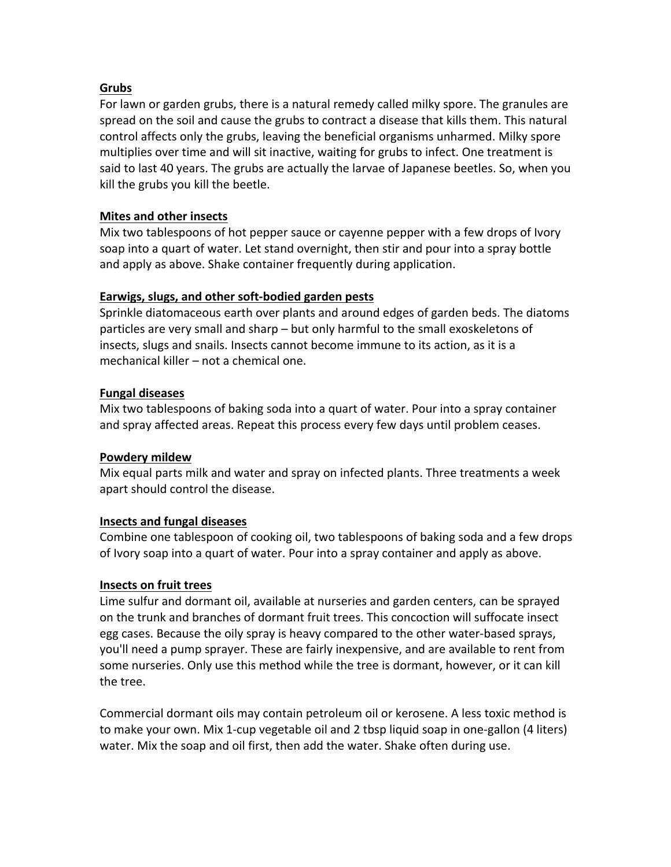# **Grubs**

For lawn or garden grubs, there is a natural remedy called milky spore. The granules are spread on the soil and cause the grubs to contract a disease that kills them. This natural control affects only the grubs, leaving the beneficial organisms unharmed. Milky spore multiplies over time and will sit inactive, waiting for grubs to infect. One treatment is said to last 40 years. The grubs are actually the larvae of Japanese beetles. So, when you kill the grubs you kill the beetle.

# **Mites and other insects**

Mix two tablespoons of hot pepper sauce or cayenne pepper with a few drops of Ivory soap into a quart of water. Let stand overnight, then stir and pour into a spray bottle and apply as above. Shake container frequently during application.

# Earwigs, slugs, and other soft-bodied garden pests

Sprinkle diatomaceous earth over plants and around edges of garden beds. The diatoms particles are very small and sharp – but only harmful to the small exoskeletons of insects, slugs and snails. Insects cannot become immune to its action, as it is a mechanical killer – not a chemical one.

# **Fungal diseases**

Mix two tablespoons of baking soda into a quart of water. Pour into a spray container and spray affected areas. Repeat this process every few days until problem ceases.

## **Powdery mildew**

Mix equal parts milk and water and spray on infected plants. Three treatments a week apart should control the disease.

# **Insects and fungal diseases**

Combine one tablespoon of cooking oil, two tablespoons of baking soda and a few drops of Ivory soap into a quart of water. Pour into a spray container and apply as above.

## **Insects on fruit trees**

Lime sulfur and dormant oil, available at nurseries and garden centers, can be sprayed on the trunk and branches of dormant fruit trees. This concoction will suffocate insect egg cases. Because the oily spray is heavy compared to the other water-based sprays, you'll need a pump sprayer. These are fairly inexpensive, and are available to rent from some nurseries. Only use this method while the tree is dormant, however, or it can kill the tree.

Commercial dormant oils may contain petroleum oil or kerosene. A less toxic method is to make your own. Mix 1-cup vegetable oil and 2 tbsp liquid soap in one-gallon (4 liters) water. Mix the soap and oil first, then add the water. Shake often during use.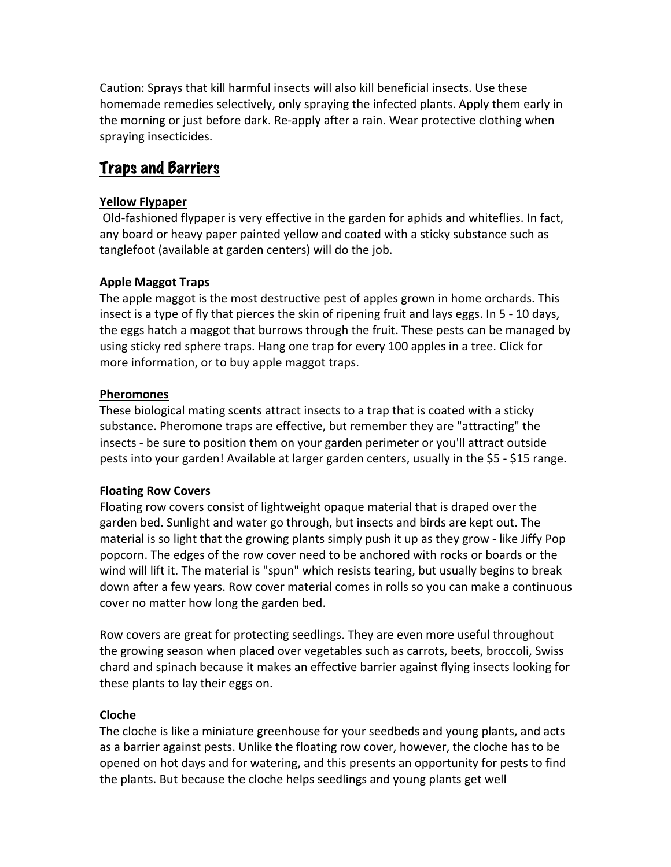Caution: Sprays that kill harmful insects will also kill beneficial insects. Use these homemade remedies selectively, only spraying the infected plants. Apply them early in the morning or just before dark. Re-apply after a rain. Wear protective clothing when spraying insecticides.

# Traps and Barriers

# **Yellow Flypaper**

Old-fashioned flypaper is very effective in the garden for aphids and whiteflies. In fact, any board or heavy paper painted yellow and coated with a sticky substance such as tanglefoot (available at garden centers) will do the job.

# **Apple Maggot Traps**

The apple maggot is the most destructive pest of apples grown in home orchards. This insect is a type of fly that pierces the skin of ripening fruit and lays eggs. In  $5 - 10$  days, the eggs hatch a maggot that burrows through the fruit. These pests can be managed by using sticky red sphere traps. Hang one trap for every 100 apples in a tree. Click for more information, or to buy apple maggot traps.

# **Pheromones**

These biological mating scents attract insects to a trap that is coated with a sticky substance. Pheromone traps are effective, but remember they are "attracting" the insects - be sure to position them on your garden perimeter or you'll attract outside pests into your garden! Available at larger garden centers, usually in the \$5 - \$15 range.

## **Floating Row Covers**

Floating row covers consist of lightweight opaque material that is draped over the garden bed. Sunlight and water go through, but insects and birds are kept out. The material is so light that the growing plants simply push it up as they grow - like Jiffy Pop popcorn. The edges of the row cover need to be anchored with rocks or boards or the wind will lift it. The material is "spun" which resists tearing, but usually begins to break down after a few years. Row cover material comes in rolls so you can make a continuous cover no matter how long the garden bed.

Row covers are great for protecting seedlings. They are even more useful throughout the growing season when placed over vegetables such as carrots, beets, broccoli, Swiss chard and spinach because it makes an effective barrier against flying insects looking for these plants to lay their eggs on.

## **Cloche**

The cloche is like a miniature greenhouse for your seedbeds and young plants, and acts as a barrier against pests. Unlike the floating row cover, however, the cloche has to be opened on hot days and for watering, and this presents an opportunity for pests to find the plants. But because the cloche helps seedlings and young plants get well